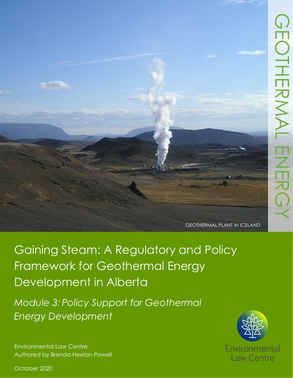GEOTHERMAL PLANT IN ICELAND

Gaining Steam: A Regulatory and Policy Framework for Geothermal Energy Development in Alberta

*Module 3: Policy Support for Geothermal Energy Development*

Environmental Law Centre Authored by Brenda Heelan Powell



October 2020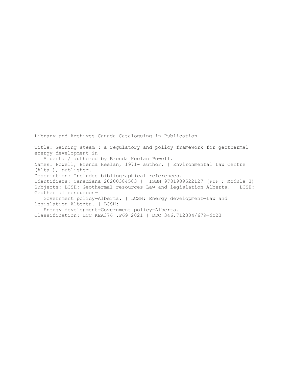Library and Archives Canada Cataloguing in Publication

Title: Gaining steam : a regulatory and policy framework for geothermal energy development in

Alberta / authored by Brenda Heelan Powell.

Names: Powell, Brenda Heelan, 1971- author. | Environmental Law Centre (Alta.), publisher.

Description: Includes bibliographical references.

Identifiers: Canadiana 20200384503 | ISBN 9781989522127 (PDF ; Module 3) Subjects: LCSH: Geothermal resources—Law and legislation—Alberta. | LCSH: Geothermal resources—

 Government policy—Alberta. | LCSH: Energy development—Law and legislation—Alberta. | LCSH:

Energy development—Government policy—Alberta.

Classification: LCC KEA376 .P69 2021 | DDC 346.712304/679—dc23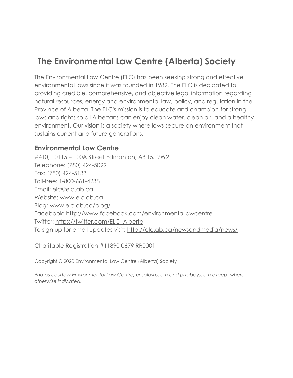# **The Environmental Law Centre (Alberta) Society**

The Environmental Law Centre (ELC) has been seeking strong and effective environmental laws since it was founded in 1982. The ELC is dedicated to providing credible, comprehensive, and objective legal information regarding natural resources, energy and environmental law, policy, and regulation in the Province of Alberta. The ELC's mission is to educate and champion for strong laws and rights so all Albertans can enjoy clean water, clean air, and a healthy environment. Our vision is a society where laws secure an environment that sustains current and future generations.

#### **Environmental Law Centre**

#410, 10115 – 100A Street Edmonton, AB T5J 2W2 Telephone: (780) 424-5099 Fax: (780) 424-5133 Toll-free: 1-800-661-4238 Email: [elc@elc.ab.ca](mailto:elc@elc.ab.ca) Website: [www.elc.ab.ca](http://www.elc.ab.ca/) Blog: [www.elc.ab.ca/blog/](http://www.elc.ab.ca/blog/) Facebook:<http://www.facebook.com/environmentallawcentre> Twitter: [https://twitter.com/ELC\\_Alberta](https://twitter.com/ELC_Alberta) To sign up for email updates visit:<http://elc.ab.ca/newsandmedia/news/>

Charitable Registration #11890 0679 RR0001

Copyright © 2020 Environmental Law Centre (Alberta) Society

*Photos courtesy Environmental Law Centre, unsplash.com and pixabay.com except where otherwise indicated.*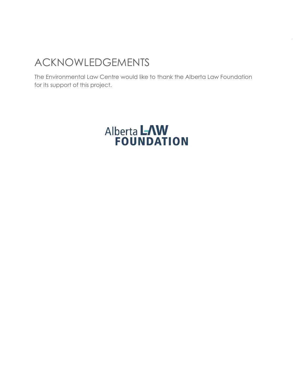# ACKNOWLEDGEMENTS

The Environmental Law Centre would like to thank the Alberta Law Foundation for its support of this project.

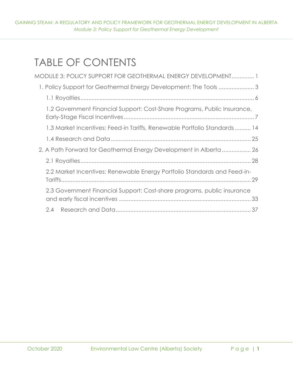GAINING STEAM: A REGULATORY AND POLICY FRAMEWORK FOR GEOTHERMAL ENERGY DEVELOPMENT IN ALBERTA *Module 3: Policy Support for Geothermal Energy Development*

# TABLE OF CONTENTS

| MODULE 3: POLICY SUPPORT FOR GEOTHERMAL ENERGY DEVELOPMENT 1             |
|--------------------------------------------------------------------------|
| 1. Policy Support for Geothermal Energy Development: The Tools 3         |
|                                                                          |
| 1.2 Government Financial Support: Cost-Share Programs, Public Insurance, |
| 1.3 Market Incentives: Feed-in Tariffs, Renewable Portfolio Standards 14 |
|                                                                          |
| 2. A Path Forward for Geothermal Energy Development in Alberta  26       |
|                                                                          |
| 2.2 Market Incentives: Renewable Energy Portfolio Standards and Feed-in- |
| 2.3 Government Financial Support: Cost-share programs, public insurance  |
| $2.4^{\circ}$                                                            |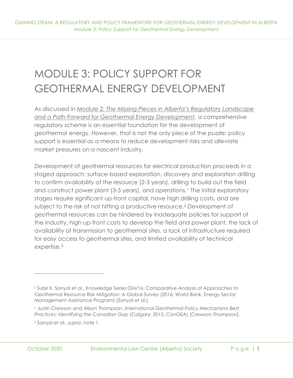# <span id="page-5-0"></span>MODULE 3: POLICY SUPPORT FOR GEOTHERMAL ENERGY DEVELOPMENT

As discussed in *[Module 2: The Missing Pieces in Alberta's Regulatory Landscape](https://elc.ab.ca/?smd_process_download=1&download_id=93858)  [and a Path Forward for Geothermal Energy Development](https://elc.ab.ca/?smd_process_download=1&download_id=93858)*, a comprehensive regulatory scheme is an essential foundation for the development of geothermal energy. However, that is not the only piece of the puzzle: policy support is essential as a means to reduce development risks and alleviate market pressures on a nascent industry.

Development of geothermal resources for electrical production proceeds in a staged approach: surface-based exploration, discovery and exploration drilling to confirm availability of the resource (2-3 years), drilling to build out the field and construct power plant (3-5 years), and operations.<sup>1</sup> The initial exploratory stages require significant up-front capital, have high drilling costs, and are subject to the risk of not hitting a productive resource.<sup>2</sup> Development of geothermal resources can be hindered by inadequate policies for support of the industry, high up-front costs to develop the field and power plant, the lack of availability of transmission to geothermal sites, a lack of infrastructure required for easy access to geothermal sites, and limited availability of technical expertise.<sup>3</sup>

<sup>1</sup> Subir K. Sanyal et al., Knowledge Series 024/16, Comparative Analysis of Approaches to Geothermal Resource Risk Mitigation: A Global Survey (2016: World Bank, Energy Sector Management Assistance Program) [Sanyal et al.].

<sup>2</sup> Justin Crewson and Alison Thompson, *International Geothermal Policy Mechanisms Best Practices: Identifying the Canadian Gap* (Calgary: 2015, CanGEA) [Crewson-Thompson].

<sup>3</sup> Sanyal et al., *supra*. note 1.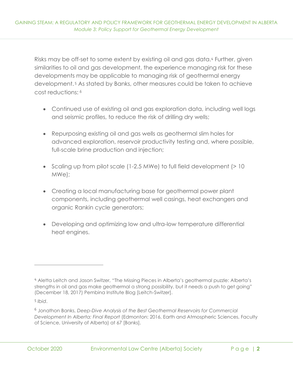Risks may be off-set to some extent by existing oil and gas data.<sup>4</sup> Further, given similarities to oil and gas development, the experience managing risk for these developments may be applicable to managing risk of geothermal energy development. <sup>5</sup> As stated by Banks, other measures could be taken to achieve cost reductions: <sup>6</sup>

- Continued use of existing oil and gas exploration data, including well logs and seismic profiles, to reduce the risk of drilling dry wells;
- Repurposing existing oil and gas wells as geothermal slim holes for advanced exploration, reservoir productivity testing and, where possible, full-scale brine production and injection;
- Scaling up from pilot scale (1-2.5 MWe) to full field development (> 10 MWe);
- Creating a local manufacturing base for geothermal power plant components, including geothermal well casings, heat exchangers and organic Rankin cycle generators;
- Developing and optimizing low and ultra-low temperature differential heat engines.

<sup>4</sup> Aletta Leitch and Jason Switzer, "The Missing Pieces in Alberta's geothermal puzzle: Alberta's strengths in oil and gas make geothermal a strong possibility, but it needs a push to get going" (December 18, 2017) Pembina Institute Blog [Leitch-Switzer].

<sup>5</sup> *Ibid*.

<sup>6</sup> Jonathon Banks, *Deep-Dive Analysis of the Best Geothermal Reservoirs for Commercial Development In Alberta: Final Report* (Edmonton: 2016, Earth and Atmospheric Sciences, Faculty of Science, University of Alberta) at 67 [Banks].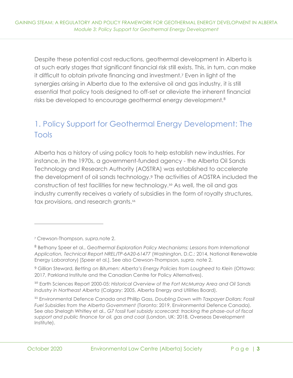Despite these potential cost reductions, geothermal development in Alberta is at such early stages that significant financial risk still exists. This, in turn, can make it difficult to obtain private financing and investment.<sup>7</sup> Even in light of the synergies arising in Alberta due to the extensive oil and gas industry, it is still essential that policy tools designed to off-set or alleviate the inherent financial risks be developed to encourage geothermal energy development.<sup>8</sup>

# <span id="page-7-0"></span>1. Policy Support for Geothermal Energy Development: The Tools

Alberta has a history of using policy tools to help establish new industries. For instance, in the 1970s, a government-funded agency - the Alberta Oil Sands Technology and Research Authority (AOSTRA) was established to accelerate the development of oil sands technology.<sup>9</sup> The activities of AOSTRA included the construction of test facilities for new technology.<sup>10</sup> As well, the oil and gas industry currently receives a variety of subsidies in the form of royalty structures, tax provisions, and research grants.<sup>11</sup>

<sup>9</sup> Gillian Steward, *Betting on Bitumen: Alberta's Energy Policies from Lougheed to Klein* (Ottawa: 2017, Parkland Institute and the Canadian Centre for Policy Alternatives).

<sup>10</sup> Earth Sciences Report 2000-05: *Historical Overview of the Fort McMurray Area and Oil Sands Industry in Northeast Alberta* (Calgary: 2005, Alberta Energy and Utilities Board).

<sup>11</sup> Environmental Defence Canada and Phillip Gass, *Doubling Down with Taxpayer Dollars: Fossil Fuel Subsidies from the Alberta Government* (Toronto: 2019, Environmental Defence Canada). See also Shelagh Whitley et al., *G7 fossil fuel subsidy scorecard: tracking the phase-out of fiscal support and public finance for oil, gas and coal* (London, UK: 2018, Overseas Development Institute).

<sup>7</sup> Crewson-Thompson*, supra.*note 2.

<sup>8</sup> Bethany Speer et al., *Geothermal Exploration Policy Mechanisms: Lessons from International Application, Technical Report NREL/TP-6A20-61477* (Washington, D.C.: 2014, National Renewable Energy Laboratory) [Speer et al.]. See also Crewson-Thompson*, supra.* note 2.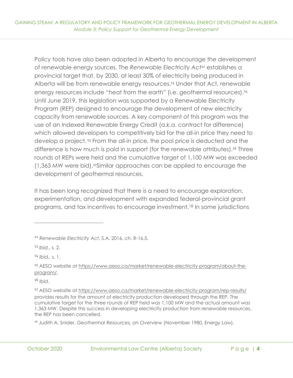Policy tools have also been adopted in Alberta to encourage the development of renewable energy sources. The *Renewable Electricity Act<sup>12</sup>* establishes a provincial target that, by 2030, at least 30% of electricity being produced in Alberta will be from renewable energy resources.<sup>13</sup> Under that Act, renewable energy resources include "heat from the earth" (i.e. geothermal resources).<sup>14</sup> Until June 2019, this legislation was supported by a Renewable Electricity Program (REP) designed to encourage the development of new electricity capacity from renewable sources. A key component of this program was the use of an Indexed Renewable Energy Credit (a.k.a. contract for difference) which allowed developers to competitively bid for the all-in price they need to develop a project. <sup>15</sup> From the all-in price, the pool price is deducted and the difference is how much is paid in support (for the renewable attributes).<sup>16</sup> Three rounds of REPs were held and the cumulative target of 1,100 MW was exceeded (1,363 MW were bid).17Similar approaches can be applied to encourage the development of geothermal resources.

It has been long recognized that there is a need to encourage exploration, experimentation, and development with expanded federal-provincial grant programs, and tax incentives to encourage investment.<sup>18</sup> In some jurisdictions

<sup>13</sup> *Ibid.*, s. 2.

<sup>14</sup> *Ibid.,* s. 1.

<sup>12</sup> *Renewable Electricity Act*, S.A. 2016, ch. R-16.5.

<sup>15</sup> AESO website at [https://www.aeso.ca/market/renewable-electricity-program/about-the](https://www.aeso.ca/market/renewable-electricity-program/about-the-program/)[program/.](https://www.aeso.ca/market/renewable-electricity-program/about-the-program/)

<sup>17</sup> AESO website at<https://www.aeso.ca/market/renewable-electricity-program/rep-results/> provides results for the amount of electricity production developed through the REP. The cumulative target for the three rounds of REP held was 1,100 MW and the actual amount was 1,363 MW. Despite this success in developing electricity production from renewable resources, the REP has been cancelled.

<sup>18</sup> Judith A. Snider, *Geothermal Resources, an Overview* (November 1980, Energy Law).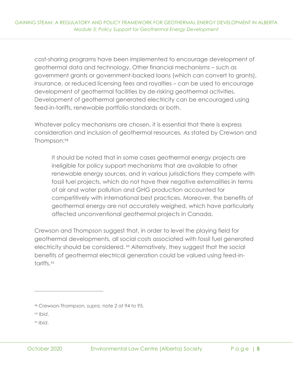cost-sharing programs have been implemented to encourage development of geothermal data and technology. Other financial mechanisms – such as government grants or government-backed loans (which can convert to grants), insurance, or reduced licensing fees and royalties – can be used to encourage development of geothermal facilities by de-risking geothermal activities. Development of geothermal generated electricity can be encouraged using feed-in-tariffs, renewable portfolio standards or both.

Whatever policy mechanisms are chosen, it is essential that there is express consideration and inclusion of geothermal resources. As stated by Crewson and Thompson:<sup>19</sup>

It should be noted that in some cases geothermal energy projects are ineligible for policy support mechanisms that are available to other renewable energy sources, and in various jurisdictions they compete with fossil fuel projects, which do not have their negative externalities in terms of air and water pollution and GHG production accounted for competitively with international best practices. Moreover, the benefits of geothermal energy are not accurately weighed, which have particularly affected unconventional geothermal projects in Canada.

Crewson and Thompson suggest that, in order to level the playing field for geothermal developments, all social costs associated with fossil fuel generated electricity should be considered. <sup>20</sup> Alternatively, they suggest that the social benefits of geothermal electrical generation could be valued using feed-intariffs.<sup>21</sup>

<sup>19</sup> Crewson-Thompson*, supra.* note 2 at 94 to 95.

<sup>20</sup> *Ibid*.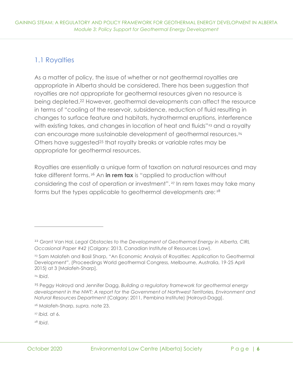## <span id="page-10-0"></span>1.1 Royalties

As a matter of policy, the issue of whether or not geothermal royalties are appropriate in Alberta should be considered. There has been suggestion that royalties are not appropriate for geothermal resources given no resource is being depleted.<sup>22</sup> However, geothermal developments can affect the resource in terms of "cooling of the reservoir, subsidence, reduction of fluid resulting in changes to surface feature and habitats, hydrothermal eruptions, interference with existing takes, and changes in location of heat and fluids"<sup>23</sup> and a royalty can encourage more sustainable development of geothermal resources.<sup>24</sup> Others have suggested<sup>25</sup> that royalty breaks or variable rates may be appropriate for geothermal resources.

Royalties are essentially a unique form of taxation on natural resources and may take different forms. <sup>26</sup> An **in rem tax** is "applied to production without considering the cost of operation or investment". <sup>27</sup> In rem taxes may take many forms but the types applicable to geothermal developments are: <sup>28</sup>

<sup>24</sup> *Ibid*.

<sup>27</sup> *Ibid.* at 6.

<sup>&</sup>lt;sup>22</sup> Grant Van Hal, Legal Obstacles to the Development of Geothermal Energy in Alberta, CIRL *Occasional Paper #42* (Calgary: 2013, Canadian Institute of Resources Law).

<sup>&</sup>lt;sup>23</sup> Sam Malafeh and Basil Sharp, "An Economic Analysis of Royalties: Application to Geothermal Development", (Proceedings World geothermal Congress, Melbourne, Australia, 19-25 April 2015) at 3 [Malafeh-Sharp].

<sup>25</sup> Peggy Holroyd and Jennifer Dagg, *Building a regulatory framework for geothermal energy development in the NWT: A report for the Government of Northwest Territories, Environment and Natural Resources Department* (Calgary: 2011, Pembina Institute) [Holroyd-Dagg].

<sup>26</sup> Malafeh-Sharp, *supra.* note 23.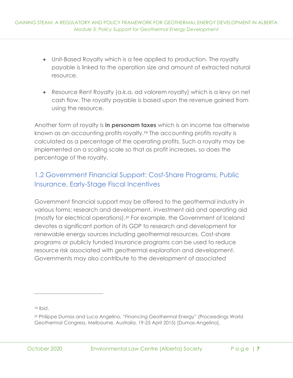- Unit-Based Royalty which is a fee applied to production. The royalty payable is linked to the operation size and amount of extracted natural resource.
- Resource Rent Royalty (a.k.a. ad valorem royalty) which is a levy on net cash flow. The royalty payable is based upon the revenue gained from using the resource.

Another form of royalty is **in personam taxes** which is an income tax otherwise known as an accounting profits royalty.<sup>29</sup> The accounting profits royalty is calculated as a percentage of the operating profits. Such a royalty may be implemented on a scaling scale so that as profit increases, so does the percentage of the royalty.

# <span id="page-11-0"></span>1.2 Government Financial Support: Cost-Share Programs, Public Insurance, Early-Stage Fiscal Incentives

Government financial support may be offered to the geothermal industry in various forms: research and development, investment aid and operating aid (mostly for electrical operations).<sup>30</sup> For example, the Government of Iceland devotes a significant portion of its GDP to research and development for renewable energy sources including geothermal resources. Cost-share programs or publicly funded insurance programs can be used to reduce resource risk associated with geothermal exploration and development. Governments may also contribute to the development of associated

<sup>&</sup>lt;sup>30</sup> Philippe Dumas and Luca Angelino, "Financing Geothermal Energy" (Proceedings World Geothermal Congress, Melbourne, Australia, 19-25 April 2015) [Dumas-Angelino].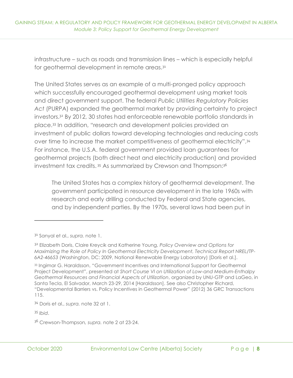infrastructure – such as roads and transmission lines – which is especially helpful for geothermal development in remote areas.<sup>31</sup>

The United States serves as an example of a multi-pronged policy approach which successfully encouraged geothermal development using market tools and direct government support. The federal *Public Utilities Regulatory Policies Act* (PURPA) expanded the geothermal market by providing certainty to project investors.<sup>32</sup> By 2012, 30 states had enforceable renewable portfolio standards in place.<sup>33</sup> In addition, "research and development policies provided an investment of public dollars toward developing technologies and reducing costs over time to increase the market competitiveness of geothermal electricity".<sup>34</sup> For instance, the U.S.A. federal government provided loan guarantees for geothermal projects (both direct heat and electricity production) and provided investment tax credits.<sup>35</sup> As summarized by Crewson and Thompson:<sup>36</sup>

The United States has a complex history of geothermal development. The government participated in resource development in the late 1960s with research and early drilling conducted by Federal and State agencies, and by independent parties. By the 1970s, several laws had been put in

<sup>31</sup> Sanyal et al., *supra.* note 1.

<sup>32</sup> Elizabeth Doris, Claire Kreycik and Katherine Young, *Policy Overview and Options for Maximizing the Role of Policy In Geothermal Electricity Development, Technical Report NREL/TP-6A2-46653* (Washington, DC: 2009, National Renewable Energy Laboratory) [Doris et al.].

<sup>33</sup> Ingimar G. Haraldsson, "Government Incentives and International Support for Geothermal Project Development", presented at *Short Course VI on Utilization of Low-and Medium-Enthalpy Geothermal Resources and Financial Aspects of Utilization*, organized by UNU-GTP and LaGeo, in Santa Tecla, El Salvador, March 23-29, 2014 [Haraldsson]. See also Christopher Richard, "Developmental Barriers vs. Policy Incentives in Geothermal Power" (2012) 36 GRC Transactions 115.

<sup>34</sup> Doris et al., *supra.* note 32 at 1.

<sup>36</sup> Crewson-Thompson*, supra.* note 2 at 23-24.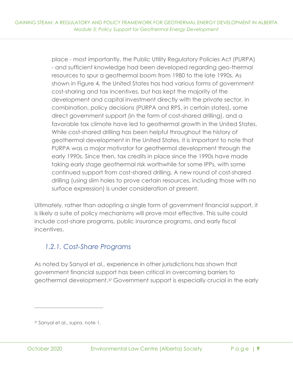place - most importantly, the Public Utility Regulatory Policies Act (PURPA) - and sufficient knowledge had been developed regarding geo-thermal resources to spur a geothermal boom from 1980 to the late 1990s. As shown in Figure 4, the United States has had various forms of government cost-sharing and tax incentives, but has kept the majority of the development and capital investment directly with the private sector. In combination, policy decisions (PURPA and RPS, in certain states), some direct government support (in the form of cost-shared drilling), and a favorable tax climate have led to geothermal growth in the United States. While cost-shared drilling has been helpful throughout the history of geothermal development in the United States, it is important to note that PURPA was a major motivator for geothermal development through the early 1990s. Since then, tax credits in place since the 1990s have made taking early stage geothermal risk worthwhile for some IPPs, with some continued support from cost-shared drilling. A new round of cost-shared drilling (using slim holes to prove certain resources, including those with no surface expression) is under consideration at present.

Ultimately, rather than adopting a single form of government financial support, it is likely a suite of policy mechanisms will prove most effective. This suite could include cost-share programs, public insurance programs, and early fiscal incentives.

## *1.2.1. Cost-Share Programs*

As noted by Sanyal et al., experience in other jurisdictions has shown that government financial support has been critical in overcoming barriers to geothermal development.<sup>37</sup> Government support is especially crucial in the early

<sup>37</sup> Sanyal et al., *supra.* note 1.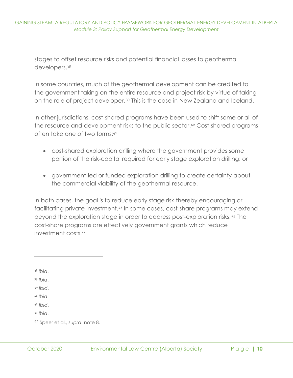stages to offset resource risks and potential financial losses to geothermal developers.<sup>38</sup>

In some countries, much of the geothermal development can be credited to the government taking on the entire resource and project risk by virtue of taking on the role of project developer. <sup>39</sup> This is the case in New Zealand and Iceland.

In other jurisdictions, cost-shared programs have been used to shift some or all of the resource and development risks to the public sector.<sup>40</sup> Cost-shared programs often take one of two forms:<sup>41</sup>

- cost-shared exploration drilling where the government provides some portion of the risk-capital required for early stage exploration drilling; or
- government-led or funded exploration drilling to create certainty about the commercial viability of the geothermal resource.

In both cases, the goal is to reduce early stage risk thereby encouraging or facilitating private investment.<sup>42</sup> In some cases, cost-share programs may extend beyond the exploration stage in order to address post-exploration risks. <sup>43</sup> The cost-share programs are effectively government grants which reduce investment costs.<sup>44</sup>

<sup>38</sup> *Ibid*.

<sup>39</sup> *Ibid*.

<sup>40</sup> *Ibid*.

<sup>41</sup> *Ibid*.

<sup>42</sup> *Ibid*.

<sup>44</sup> Speer et al., *supra*. note 8.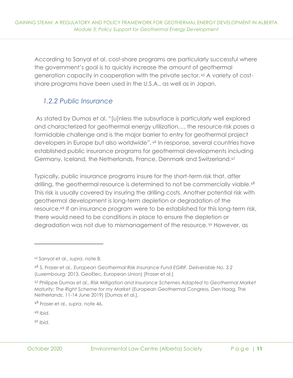According to Sanyal et al. cost-share programs are particularly successful where the government's goal is to quickly increase the amount of geothermal generation capacity in cooperation with the private sector. <sup>45</sup> A variety of costshare programs have been used in the U.S.A., as well as in Japan.

#### *1.2.2 Public Insurance*

As stated by Dumas et al. "[u]nless the subsurface is particularly well explored and characterized for geothermal energy utilization…, the resource risk poses a formidable challenge and is the major barrier to entry for geothermal project developers in Europe but also worldwide". <sup>46</sup> In response, several countries have established public insurance programs for geothermal developments including Germany, Iceland, the Netherlands, France, Denmark and Switzerland.<sup>47</sup>

Typically, public insurance programs insure for the short-term risk that, after drilling, the geothermal resource is determined to not be commercially viable.<sup>48</sup> This risk is usually covered by insuring the drilling costs. Another potential risk with geothermal development is long-term depletion or degradation of the resource.<sup>49</sup> If an insurance program were to be established for this long-term risk, there would need to be conditions in place to ensure the depletion or degradation was not due to mismanagement of the resource.<sup>50</sup> However, as

<sup>49</sup> *Ibid*.

<sup>45</sup> Sanyal et al., *supra*. note 8.

<sup>46</sup> S. Fraser et al., *European Geothermal Risk Insurance Fund EGRIF, Deliverable No. 3.2*  (Luxembourg: 2013, GeoElec, European Union) [Fraser et al.]

<sup>47</sup> Philippe Dumas et al., *Risk Mitigation and Insurance Schemes Adapted to Geothermal Market Maturity: The Right Scheme for my Market* (European Geothermal Congress, Den Haag, The Netherlands, 11-14 June 2019) [Dumas et al.].

<sup>48</sup> Fraser et al., *supra.* note 46.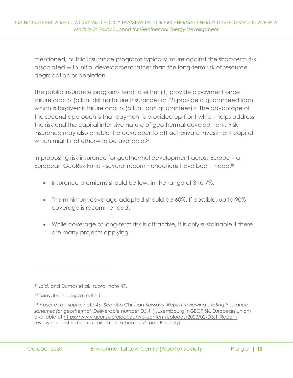mentioned, public insurance programs typically insure against the short-term risk associated with initial development rather than the long-term risk of resource degradation or depletion.

The public insurance programs tend to either (1) provide a payment once failure occurs (a.k.a. drilling failure insurance) or (2) provide a guaranteed loan which is forgiven if failure occurs (a.k.a. loan guarantees).<sup>51</sup> The advantage of the second approach is that payment is provided up-front which helps address the risk and the capital intensive nature of geothermal development. Risk insurance may also enable the developer to attract private investment capital which might not otherwise be available.<sup>52</sup>

In proposing risk insurance for geothermal development across Europe – a European GeoRisk Fund - several recommendations have been made:<sup>53</sup>

- Insurance premiums should be low, in the range of 3 to 7%.
- The minimum coverage adopted should be 60%. If possible, up to 90% coverage is recommended.
- While coverage of long-term risk is attractive, it is only sustainable if there are many projects applying.

<sup>51</sup> *Ibid.* and Dumas et al., *supra.* note 47.

<sup>52</sup> Sanyal et al., *supra.* note 1.

<sup>53</sup> Fraser et al., *supra.* note 46. See also Christian Boissavy, *Report reviewing existing Insurance schemes for geothermal, Deliverable number D3.1* ( Luxembourg: nGEORISK, European Union) available at [https://www.georisk-project.eu/wp-content/uploads/2020/02/D3.1\\_Report](https://www.georisk-project.eu/wp-content/uploads/2020/02/D3.1_Report-reviewing-geothermal-risk-mitigation-schemes-v2.pdf)[reviewing-geothermal-risk-mitigation-schemes-v2.pdf](https://www.georisk-project.eu/wp-content/uploads/2020/02/D3.1_Report-reviewing-geothermal-risk-mitigation-schemes-v2.pdf) [Boissavy].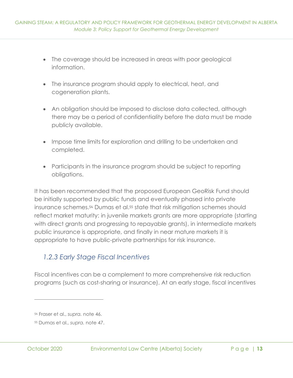- The coverage should be increased in areas with poor geological information.
- The insurance program should apply to electrical, heat, and cogeneration plants.
- An obligation should be imposed to disclose data collected, although there may be a period of confidentiality before the data must be made publicly available.
- Impose time limits for exploration and drilling to be undertaken and completed.
- Participants in the insurance program should be subject to reporting obligations.

It has been recommended that the proposed European GeoRisk Fund should be initially supported by public funds and eventually phased into private insurance schemes.<sup>54</sup> Dumas et al.<sup>55</sup> state that risk mitigation schemes should reflect market maturity: in juvenile markets grants are more appropriate (starting with direct grants and progressing to repayable grants), in intermediate markets public insurance is appropriate, and finally in near mature markets it is appropriate to have public-private partnerships for risk insurance.

## *1.2.3 Early Stage Fiscal Incentives*

Fiscal incentives can be a complement to more comprehensive risk reduction programs (such as cost-sharing or insurance). At an early stage, fiscal incentives

<sup>54</sup> Fraser et al., *supra.* note 46.

<sup>55</sup> Dumas et al., *supra.* note 47.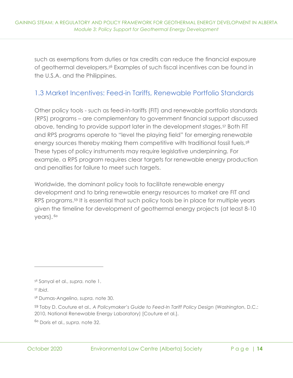such as exemptions from duties or tax credits can reduce the financial exposure of geothermal developers.<sup>56</sup> Examples of such fiscal incentives can be found in the U.S.A. and the Philippines.

#### <span id="page-18-0"></span>1.3 Market Incentives: Feed-in Tariffs, Renewable Portfolio Standards

Other policy tools - such as feed-in-tariffs (FIT) and renewable portfolio standards (RPS) programs – are complementary to government financial support discussed above, tending to provide support later in the development stages.<sup>57</sup> Both FIT and RPS programs operate to "level the playing field" for emerging renewable energy sources thereby making them competitive with traditional fossil fuels.<sup>58</sup> These types of policy instruments may require legislative underpinning. For example, a RPS program requires clear targets for renewable energy production and penalties for failure to meet such targets.

Worldwide, the dominant policy tools to facilitate renewable energy development and to bring renewable energy resources to market are FIT and RPS programs.<sup>59</sup> It is essential that such policy tools be in place for multiple years given the timeline for development of geothermal energy projects (at least 8-10 years).<sup>60</sup>

<sup>56</sup> Sanyal et al., *supra.* note 1.

<sup>57</sup> *Ibid*.

<sup>58</sup> Dumas-Angelino, *supra.* note 30.

<sup>59</sup> Toby D. Couture et al., *A Policymaker's Guide to Feed-In Tariff Policy Design* (Washington, D.C.: 2010, National Renewable Energy Laboratory) [Couture et al.].

<sup>60</sup> Doris et al., *supra.* note 32.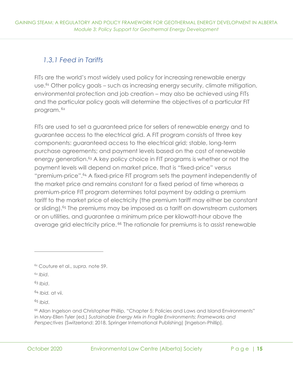# *1.3.1 Feed in Tariffs*

FITs are the world's most widely used policy for increasing renewable energy use.<sup>61</sup> Other policy goals – such as increasing energy security, climate mitigation, environmental protection and job creation – may also be achieved using FITs and the particular policy goals will determine the objectives of a particular FIT program. <sup>62</sup>

FITs are used to set a guaranteed price for sellers of renewable energy and to guarantee access to the electrical grid. A FIT program consists of three key components: guaranteed access to the electrical grid; stable, long-term purchase agreements; and payment levels based on the cost of renewable energy generation.<sup>63</sup> A key policy choice in FIT programs is whether or not the payment levels will depend on market price, that is "fixed-price" versus "premium-price".<sup>64</sup> A fixed-price FIT program sets the payment independently of the market price and remains constant for a fixed period of time whereas a premium-price FIT program determines total payment by adding a premium tariff to the market price of electricity (the premium tariff may either be constant or sliding).<sup>65</sup> The premiums may be imposed as a tariff on downstream customers or on utilities, and guarantee a minimum price per kilowatt-hour above the average grid electricity price. <sup>66</sup> The rationale for premiums is to assist renewable

<sup>63</sup> *Ibid*.

<sup>64</sup> *Ibid.* at vii.

<sup>61</sup> Couture et al., *supra.* note 59.

<sup>62</sup> *Ibid*.

<sup>66</sup> Allan Ingelson and Christopher Phillip, "Chapter 5: Policies and Laws and Island Environments" in Mary-Ellen Tyler (ed.) *Sustainable Energy Mix in Fragile Environments: Frameworks and Perspectives* (Switzerland: 2018, Springer International Publishing) [Ingelson-Phillip].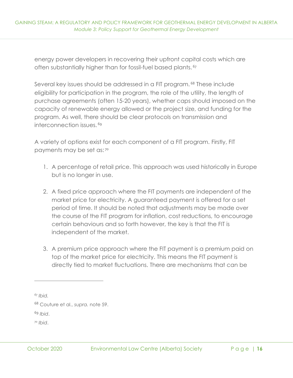energy power developers in recovering their upfront capital costs which are often substantially higher than for fossil-fuel based plants. <sup>67</sup>

Several key issues should be addressed in a FIT program. <sup>68</sup> These include eligibility for participation in the program, the role of the utility, the length of purchase agreements (often 15-20 years), whether caps should imposed on the capacity of renewable energy allowed or the project size, and funding for the program. As well, there should be clear protocols on transmission and interconnection issues. <sup>69</sup>

A variety of options exist for each component of a FIT program. Firstly, FIT payments may be set as: <sup>70</sup>

- 1. A percentage of retail price. This approach was used historically in Europe but is no longer in use.
- 2. A fixed price approach where the FIT payments are independent of the market price for electricity. A guaranteed payment is offered for a set period of time. It should be noted that adjustments may be made over the course of the FIT program for inflation, cost reductions, to encourage certain behaviours and so forth however, the key is that the FIT is independent of the market.
- 3. A premium price approach where the FIT payment is a premium paid on top of the market price for electricity. This means the FIT payment is directly tied to market fluctuations. There are mechanisms that can be

*<sup>67</sup> Ibid.*

<sup>68</sup> Couture et al., *supra.* note 59.

<sup>69</sup> *Ibid*.

<sup>70</sup> *Ibid*.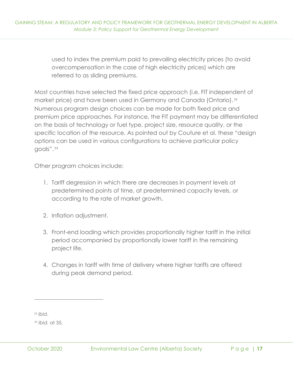used to index the premium paid to prevailing electricity prices (to avoid overcompensation in the case of high electricity prices) which are referred to as sliding premiums.

Most countries have selected the fixed price approach (i.e. FIT independent of market price) and have been used in Germany and Canada (Ontario).<sup>71</sup> Numerous program design choices can be made for both fixed price and premium price approaches. For instance, the FIT payment may be differentiated on the basis of technology or fuel type, project size, resource quality, or the specific location of the resource. As pointed out by Couture et al. these "design options can be used in various configurations to achieve particular policy goals". <sup>72</sup>

Other program choices include:

- 1. Tariff degression in which there are decreases in payment levels at predetermined points of time, at predetermined capacity levels, or according to the rate of market growth.
- 2. Inflation adjustment.
- 3. Front-end loading which provides proportionally higher tariff in the initial period accompanied by proportionally lower tariff in the remaining project life.
- 4. Changes in tariff with time of delivery where higher tariffs are offered during peak demand period.

<sup>71</sup> *Ibid*.

<sup>72</sup> *Ibid.* at 35.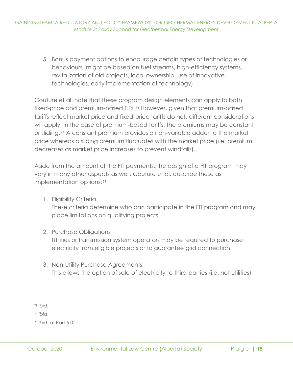5. Bonus payment options to encourage certain types of technologies or behaviours (might be based on fuel streams, high-efficiency systems, revitalization of old projects, local ownership, use of innovative technologies, early implementation of technology).

Couture et al. note that these program design elements can apply to both fixed-price and premium-based FITs. <sup>73</sup> However, given that premium-based tariffs reflect market price and fixed-price tariffs do not, different considerations will apply. In the case of premium-based tariffs, the premiums may be constant or sliding. <sup>74</sup> A constant premium provides a non-variable adder to the market price whereas a sliding premium fluctuates with the market price (i.e. premium decreases as market price increases to prevent windfalls).

Aside from the amount of the FIT payments, the design of a FIT program may vary in many other aspects as well. Couture et al. describe these as implementation options: <sup>75</sup>

1. Eligibility Criteria

These criteria determine who can participate in the FIT program and may place limitations on qualifying projects.

#### 2. Purchase Obligations

Utilities or transmission system operators may be required to purchase electricity from eligible projects or to guarantee grid connection.

3. Non-Utility Purchase Agreements This allows the option of sale of electricity to third-parties (i.e. not utilities)

<sup>73</sup> *Ibid*.

<sup>74</sup> *Ibid*.

<sup>75</sup> *Ibid.* at Part 5.0.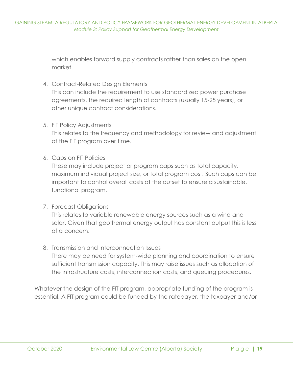which enables forward supply contracts rather than sales on the open market.

- 4. Contract-Related Design Elements This can include the requirement to use standardized power purchase agreements, the required length of contracts (usually 15-25 years), or other unique contract considerations.
- 5. FIT Policy Adjustments

This relates to the frequency and methodology for review and adjustment of the FIT program over time.

6. Caps on FIT Policies

These may include project or program caps such as total capacity, maximum individual project size, or total program cost. Such caps can be important to control overall costs at the outset to ensure a sustainable, functional program.

7. Forecast Obligations

This relates to variable renewable energy sources such as a wind and solar. Given that geothermal energy output has constant output this is less of a concern.

8. Transmission and Interconnection Issues

There may be need for system-wide planning and coordination to ensure sufficient transmission capacity. This may raise issues such as allocation of the infrastructure costs, interconnection costs, and queuing procedures.

Whatever the design of the FIT program, appropriate funding of the program is essential. A FIT program could be funded by the ratepayer, the taxpayer and/or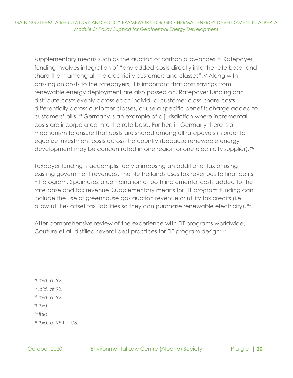supplementary means such as the auction of carbon allowances.<sup>76</sup> Ratepayer funding involves integration of "any added costs directly into the rate base, and share them among all the electricity customers and classes".<sup>77</sup> Along with passing on costs to the ratepayers, it is important that cost savings from renewable energy deployment are also passed on. Ratepayer funding can distribute costs evenly across each individual customer class, share costs differentially across customer classes, or use a specific benefits charge added to customers' bills. <sup>78</sup> Germany is an example of a jurisdiction where incremental costs are incorporated into the rate base. Further, in Germany there is a mechanism to ensure that costs are shared among all ratepayers in order to equalize investment costs across the country (because renewable energy development may be concentrated in one region or one electricity supplier). <sup>79</sup>

Taxpayer funding is accomplished via imposing an additional tax or using existing government revenues. The Netherlands uses tax revenues to finance its FIT program. Spain uses a combination of both incremental costs added to the rate base and tax revenue. Supplementary means for FIT program funding can include the use of greenhouse gas auction revenue or utility tax credits (i.e. allow utilities offset tax liabilities so they can purchase renewable electricity). <sup>80</sup>

After comprehensive review of the experience with FIT programs worldwide, Couture et al. distilled several best practices for FIT program design: <sup>81</sup>

<sup>76</sup> *Ibid.* at 92.

<sup>77</sup> *Ibid.* at 92.

<sup>78</sup> *Ibid.* at 92.

<sup>79</sup> *Ibid*.

<sup>80</sup> *Ibid*.

<sup>81</sup> *Ibid.* at 99 to 103.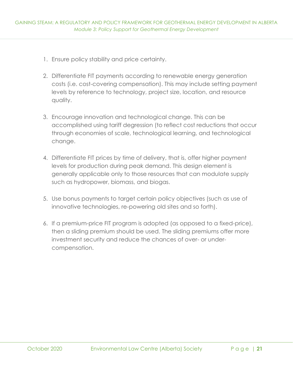- 1. Ensure policy stability and price certainty.
- 2. Differentiate FIT payments according to renewable energy generation costs (i.e. cost-covering compensation). This may include setting payment levels by reference to technology, project size, location, and resource quality.
- 3. Encourage innovation and technological change. This can be accomplished using tariff degression (to reflect cost reductions that occur through economies of scale, technological learning, and technological change.
- 4. Differentiate FIT prices by time of delivery, that is, offer higher payment levels for production during peak demand. This design element is generally applicable only to those resources that can modulate supply such as hydropower, biomass, and biogas.
- 5. Use bonus payments to target certain policy objectives (such as use of innovative technologies, re-powering old sites and so forth).
- 6. If a premium-price FIT program is adopted (as opposed to a fixed-price), then a sliding premium should be used. The sliding premiums offer more investment security and reduce the chances of over- or undercompensation.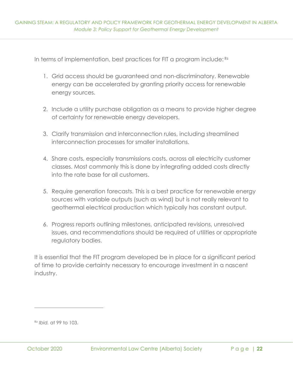In terms of implementation, best practices for FIT a program include: 82

- 1. Grid access should be guaranteed and non-discriminatory. Renewable energy can be accelerated by granting priority access for renewable energy sources.
- 2. Include a utility purchase obligation as a means to provide higher degree of certainty for renewable energy developers.
- 3. Clarify transmission and interconnection rules, including streamlined interconnection processes for smaller installations.
- 4. Share costs, especially transmissions costs, across all electricity customer classes. Most commonly this is done by integrating added costs directly into the rate base for all customers.
- 5. Require generation forecasts. This is a best practice for renewable energy sources with variable outputs (such as wind) but is not really relevant to geothermal electrical production which typically has constant output.
- 6. Progress reports outlining milestones, anticipated revisions, unresolved issues, and recommendations should be required of utilities or appropriate regulatory bodies.

It is essential that the FIT program developed be in place for a significant period of time to provide certainty necessary to encourage investment in a nascent industry.

<sup>82</sup> *Ibid.* at 99 to 103.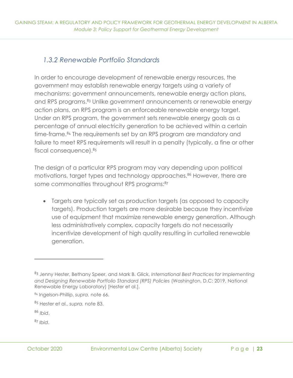## *1.3.2 Renewable Portfolio Standards*

In order to encourage development of renewable energy resources, the government may establish renewable energy targets using a variety of mechanisms: government announcements, renewable energy action plans, and RPS programs.<sup>83</sup> Unlike government announcements or renewable energy action plans, an RPS program is an enforceable renewable energy target. Under an RPS program, the government sets renewable energy goals as a percentage of annual electricity generation to be achieved within a certain time-frame.<sup>84</sup> The requirements set by an RPS program are mandatory and failure to meet RPS requirements will result in a penalty (typically, a fine or other fiscal consequence). <sup>85</sup>

The design of a particular RPS program may vary depending upon political motivations, target types and technology approaches.<sup>86</sup> However, there are some commonalties throughout RPS programs:<sup>87</sup>

• Targets are typically set as production targets (as opposed to capacity targets). Production targets are more desirable because they incentivize use of equipment that maximize renewable energy generation. Although less administratively complex, capacity targets do not necessarily incentivize development of high quality resulting in curtailed renewable generation.

<sup>83</sup> Jenny Hester, Bethany Speer, and Mark B. Glick, *International Best Practices for Implementing and Designing Renewable Portfolio Standard (RPS) Policies* (Washington, D.C: 2019, National Renewable Energy Laboratory) [Hester et al.].

<sup>84</sup> Ingelson-Phillip, *supra.* note 66.

<sup>85</sup> Hester et al., *supra.* note 83.

<sup>86</sup> *Ibid*.

<sup>87</sup> *Ibid*.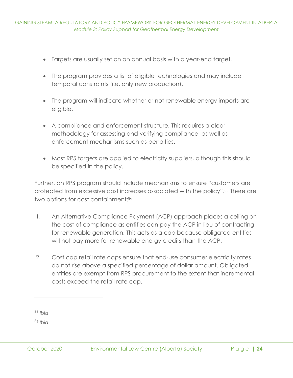- Targets are usually set on an annual basis with a year-end target.
- The program provides a list of eligible technologies and may include temporal constraints (i.e. only new production).
- The program will indicate whether or not renewable energy imports are eligible.
- A compliance and enforcement structure. This requires a clear methodology for assessing and verifying compliance, as well as enforcement mechanisms such as penalties.
- Most RPS targets are applied to electricity suppliers, although this should be specified in the policy.

Further, an RPS program should include mechanisms to ensure "customers are protected from excessive cost increases associated with the policy".<sup>88</sup> There are two options for cost containment:<sup>89</sup>

- 1. An Alternative Compliance Payment (ACP) approach places a ceiling on the cost of compliance as entities can pay the ACP in lieu of contracting for renewable generation. This acts as a cap because obligated entities will not pay more for renewable energy credits than the ACP.
- 2. Cost cap retail rate caps ensure that end-use consumer electricity rates do not rise above a specified percentage of dollar amount. Obligated entities are exempt from RPS procurement to the extent that incremental costs exceed the retail rate cap.

<sup>88</sup> *Ibid*.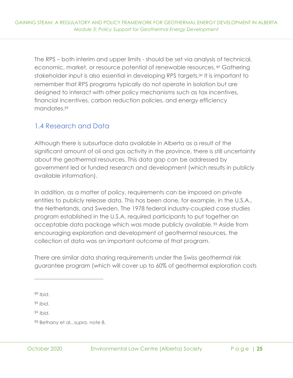The RPS – both interim and upper limits - should be set via analysis of technical, economic, market, or resource potential of renewable resources. <sup>90</sup> Gathering stakeholder input is also essential in developing RPS targets.<sup>91</sup> It is important to remember that RPS programs typically do not operate in isolation but are designed to interact with other policy mechanisms such as tax incentives, financial incentives, carbon reduction policies, and energy efficiency mandates.<sup>92</sup>

### <span id="page-29-0"></span>1.4 Research and Data

Although there is subsurface data available in Alberta as a result of the significant amount of oil and gas activity in the province, there is still uncertainty about the geothermal resources. This data gap can be addressed by government led or funded research and development (which results in publicly available information).

In addition, as a matter of policy, requirements can be imposed on private entities to publicly release data. This has been done, for example, in the U.S.A., the Netherlands, and Sweden. The 1978 federal industry-coupled case studies program established in the U.S.A. required participants to put together an acceptable data package which was made publicly available. <sup>93</sup> Aside from encouraging exploration and development of geothermal resources, the collection of data was an important outcome of that program.

There are similar data sharing requirements under the Swiss geothermal risk guarantee program (which will cover up to 60% of geothermal exploration costs

<sup>90</sup> *Ibid*.

<sup>91</sup> *Ibid*.

<sup>93</sup> Bethany et al., *supra.* note 8.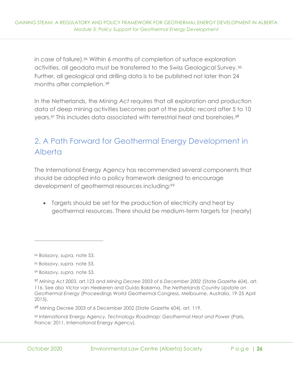in case of failure).<sup>94</sup> Within 6 months of completion of surface exploration activities, all geodata must be transferred to the Swiss Geological Survey. <sup>95</sup> Further, all geological and drilling data is to be published not later than 24 months after completion. <sup>96</sup>

In the Netherlands, the *Mining Act* requires that all exploration and production data of deep mining activities becomes part of the public record after 5 to 10 years.<sup>97</sup> This includes data associated with terrestrial heat and boreholes.<sup>98</sup>

# <span id="page-30-0"></span>2. A Path Forward for Geothermal Energy Development in Alberta

The International Energy Agency has recommended several components that should be adopted into a policy framework designed to encourage development of geothermal resources including:<sup>99</sup>

• Targets should be set for the production of electricity and heat by geothermal resources. There should be medium-term targets for (nearly)

<sup>94</sup> Boissavy, *supra.* note 53.

<sup>95</sup> Boissavy, *supra.* note 53.

<sup>96</sup> Boissavy, *supra.* note 53.

<sup>97</sup> *Mining Act 2003*, art.123 and *Mining Decree 2003 of 6 December 2002* (State Gazette 604), art. 116. See also Victor van Heekeren and Guido Bakema, *The Netherlands Country Update on Geothermal Energy* (Proceedings World Geothermal Congress, Melbourne, Australia, 19-25 April 2015).

<sup>98</sup> Mining Decree 2003 of 6 December 2002 (State Gazette 604), art. 119.

<sup>99</sup> International Energy Agency, *Technology Roadmap: Geothermal Heat and Power* (Paris, France: 2011, International Energy Agency).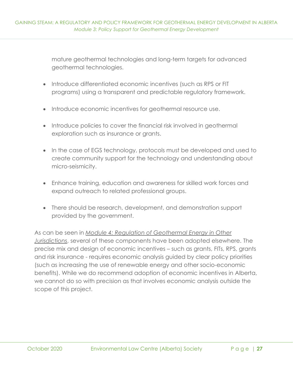mature geothermal technologies and long-term targets for advanced geothermal technologies.

- Introduce differentiated economic incentives (such as RPS or FIT programs) using a transparent and predictable regulatory framework.
- Introduce economic incentives for geothermal resource use.
- Introduce policies to cover the financial risk involved in geothermal exploration such as insurance or grants.
- In the case of EGS technology, protocols must be developed and used to create community support for the technology and understanding about micro-seismicity.
- Enhance training, education and awareness for skilled work forces and expand outreach to related professional groups.
- There should be research, development, and demonstration support provided by the government.

As can be seen in *[Module 4: Regulation of Geothermal Energy in Other](https://elc.ab.ca/?smd_process_download=1&download_id=93862)  [Jurisdictions](https://elc.ab.ca/?smd_process_download=1&download_id=93862)*, several of these components have been adopted elsewhere. The precise mix and design of economic incentives – such as grants, FITs, RPS, grants and risk insurance - requires economic analysis guided by clear policy priorities (such as increasing the use of renewable energy and other socio-economic benefits). While we do recommend adoption of economic incentives in Alberta, we cannot do so with precision as that involves economic analysis outside the scope of this project.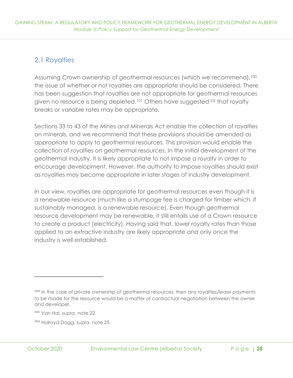## <span id="page-32-0"></span>2.1 Royalties

Assuming Crown ownership of geothermal resources (which we recommend),<sup>100</sup> the issue of whether or not royalties are appropriate should be considered. There has been suggestion that royalties are not appropriate for geothermal resources given no resource is being depleted.<sup>101</sup> Others have suggested<sup>102</sup> that royalty breaks or variable rates may be appropriate.

Sections 33 to 43 of the *Mines and Minerals Act* enable the collection of royalties on minerals, and we recommend that these provisions should be amended as appropriate to apply to geothermal resources. This provision would enable the collection of royalties on geothermal resources. In the initial development of the geothermal industry, it is likely appropriate to not impose a royalty in order to encourage development. However, the authority to impose royalties should exist as royalties may become appropriate in later stages of industry development.

In our view, royalties are appropriate for geothermal resources even though it is a renewable resource (much like a stumpage fee is charged for timber which, if sustainably managed, is a renewable resource). Even though geothermal resource development may be renewable, it still entails use of a Crown resource to create a product (electricity). Having said that, lower royalty rates than those applied to an extractive industry are likely appropriate and only once the industry is well established.

<sup>&</sup>lt;sup>100</sup> In the case of private ownership of geothermal resources, then any royalties/lease payments to be made for the resource would be a matter of contractual negotiation between the owner and developer.

<sup>101</sup> Van Hal, *supra*. note 22.

<sup>102</sup> Holroyd-Dagg, *supra.* note 25.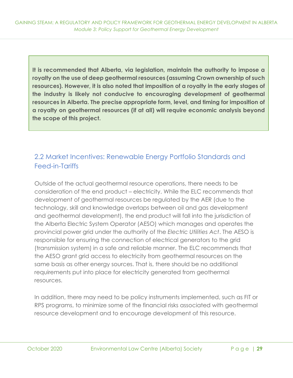**It is recommended that Alberta, via legislation, maintain the authority to impose a royalty on the use of deep geothermal resources (assuming Crown ownership of such resources). However, it is also noted that imposition of a royalty in the early stages of the industry is likely not conducive to encouraging development of geothermal resources in Alberta. The precise appropriate form, level, and timing for imposition of a royalty on geothermal resources (if at all) will require economic analysis beyond the scope of this project.**

# <span id="page-33-0"></span>2.2 Market Incentives: Renewable Energy Portfolio Standards and Feed-in-Tariffs

Outside of the actual geothermal resource operations, there needs to be consideration of the end product – electricity. While the ELC recommends that development of geothermal resources be regulated by the AER (due to the technology, skill and knowledge overlaps between oil and gas development and geothermal development), the end product will fall into the jurisdiction of the Alberta Electric System Operator (AESO) which manages and operates the provincial power grid under the authority of the *Electric Utilities Act*. The AESO is responsible for ensuring the connection of electrical generators to the grid (transmission system) in a safe and reliable manner. The ELC recommends that the AESO grant grid access to electricity from geothermal resources on the same basis as other energy sources. That is, there should be no additional requirements put into place for electricity generated from geothermal resources.

In addition, there may need to be policy instruments implemented, such as FIT or RPS programs, to minimize some of the financial risks associated with geothermal resource development and to encourage development of this resource.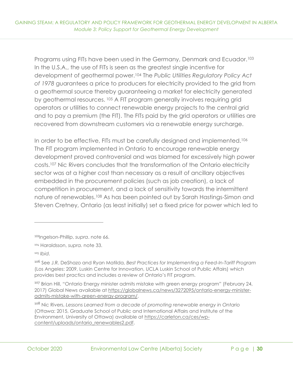Programs using FITs have been used in the Germany, Denmark and Ecuador.<sup>103</sup> In the U.S.A., the use of FITs is seen as the greatest single incentive for development of geothermal power.<sup>104</sup> The *Public Utilities Regulatory Policy Act of 1978* guarantees a price to producers for electricity provided to the grid from a geothermal source thereby guaranteeing a market for electricity generated by geothermal resources. <sup>105</sup> A FIT program generally involves requiring grid operators or utilities to connect renewable energy projects to the central grid and to pay a premium (the FIT). The FITs paid by the grid operators or utilities are recovered from downstream customers via a renewable energy surcharge.

In order to be effective, FITs must be carefully designed and implemented.<sup>106</sup> The FIT program implemented in Ontario to encourage renewable energy development proved controversial and was blamed for excessively high power costs.<sup>107</sup> Nic Rivers concludes that the transformation of the Ontario electricity sector was at a higher cost than necessary as a result of ancillary objectives embedded in the procurement policies (such as job creation), a lack of competition in procurement, and a lack of sensitivity towards the intermittent nature of renewables.<sup>108</sup> As has been pointed out by Sarah Hastings-Simon and Steven Cretney, Ontario (as least initially) set a fixed price for power which led to

<sup>103</sup>Ingelson-Phillip, *supra*. note 66.

<sup>104</sup> Haraldsson, *supra.* note 33.

<sup>106</sup> See J.R. DeShazo and Ryan Matilda, *Best Practices for Implementing a Feed-In-Tariff Program* (Los Angeles: 2009, Luskin Centre for Innovation, UCLA Luskin School of Public Affairs) which provides best practics and includes a review of Ontario's FIT program.

<sup>&</sup>lt;sup>107</sup> Brian Hill, "Ontario Energy minister admits mistake with green energy program" (February 24, 2017) Global News available at [https://globalnews.ca/news/3272095/ontario-energy-minister](https://globalnews.ca/news/3272095/ontario-energy-minister-admits-mistake-with-green-energy-program/)[admits-mistake-with-green-energy-program/.](https://globalnews.ca/news/3272095/ontario-energy-minister-admits-mistake-with-green-energy-program/)

<sup>108</sup> Nic Rivers, *Lessons Learned from a decade of promoting renewable energy in Ontario*  (Ottawa: 2015, Graduate School of Public and International Affairs and Institute of the Environment, University of Ottawa) available at [https://carleton.ca/ces/wp](https://carleton.ca/ces/wp-content/uploads/ontario_renewables2.pdf)[content/uploads/ontario\\_renewables2.pdf.](https://carleton.ca/ces/wp-content/uploads/ontario_renewables2.pdf)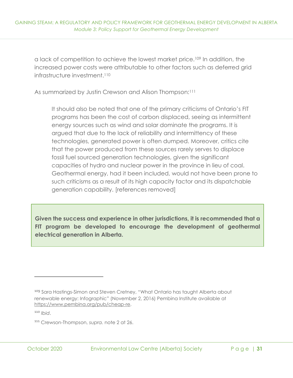a lack of competition to achieve the lowest market price.<sup>109</sup> In addition, the increased power costs were attributable to other factors such as deferred grid infrastructure investment.<sup>110</sup>

As summarized by Justin Crewson and Alison Thompson:<sup>111</sup>

It should also be noted that one of the primary criticisms of Ontario's FIT programs has been the cost of carbon displaced, seeing as intermittent energy sources such as wind and solar dominate the programs. It is argued that due to the lack of reliability and intermittency of these technologies, generated power is often dumped. Moreover, critics cite that the power produced from these sources rarely serves to displace fossil fuel sourced generation technologies, given the significant capacities of hydro and nuclear power in the province in lieu of coal. Geothermal energy, had it been included, would not have been prone to such criticisms as a result of its high capacity factor and its dispatchable generation capability. [references removed]

**Given the success and experience in other jurisdictions, it is recommended that a FIT program be developed to encourage the development of geothermal electrical generation in Alberta.**

<sup>&</sup>lt;sup>109</sup> Sara Hastings-Simon and Steven Cretney, "What Ontario has taught Alberta about renewable energy: Infographic" (November 2, 2016) Pembina Institute available at [https://www.pembina.org/pub/cheap-re.](https://www.pembina.org/pub/cheap-re)

<sup>111</sup> Crewson-Thompson, *supra.* note 2 at 26.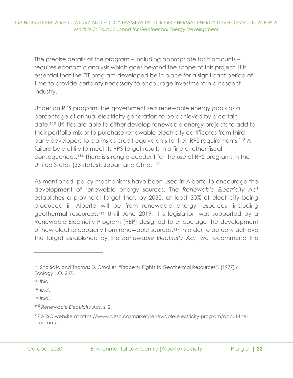The precise details of the program – including appropriate tariff amounts – requires economic analysis which goes beyond the scope of this project. It is essential that the FIT program developed be in place for a significant period of time to provide certainty necessary to encourage investment in a nascent industry.

Under an RPS program, the government sets renewable energy goals as a percentage of annual electricity generation to be achieved by a certain date.<sup>112</sup> Utilities are able to either develop renewable energy projects to add to their portfolio mix or to purchase renewable electricity certificates from third party developers to claims as credit equivalents to their RPS requirements.<sup>113</sup> A failure by a utility to meet its RPS target results in a fine or other fiscal consequences.<sup>114</sup> There is strong precedent for the use of RPS programs in the United States (33 states), Japan and Chile. <sup>115</sup>

As mentioned, policy mechanisms have been used in Alberta to encourage the development of renewable energy sources. The *Renewable Electricity Act* establishes a provincial target that, by 2030, at least 30% of electricity being produced in Alberta will be from renewable energy resources, including geothermal resources. <sup>116</sup> Until June 2019, this legislation was supported by a Renewable Electricity Program (REP) designed to encourage the development of new electric capacity from renewable sources.<sup>117</sup> In order to actually achieve the target established by the *Renewable Electricity Act*, we recommend the

<sup>112</sup> Sho Sato and Thomas D. Crocker, "Property Rights to Geothermal Resources", (1977) 6 Ecology L.Q. 247.

<sup>113</sup> *Ibid*.

<sup>114</sup> *Ibid*.

<sup>115</sup> *Ibid*.

<sup>116</sup> *Renewable Electricity Act*, s. 2.

<sup>117</sup> AESO website at [https://www.aeso.ca/market/renewable-electricity-program/about-the](https://www.aeso.ca/market/renewable-electricity-program/about-the-program/)[program/.](https://www.aeso.ca/market/renewable-electricity-program/about-the-program/)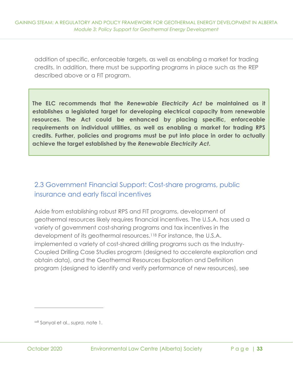addition of specific, enforceable targets, as well as enabling a market for trading credits. In addition, there must be supporting programs in place such as the REP described above or a FIT program.

**The ELC recommends that the** *Renewable Electricity Act* **be maintained as it establishes a legislated target for developing electrical capacity from renewable resources. The Act could be enhanced by placing specific, enforceable requirements on individual utilities, as well as enabling a market for trading RPS credits. Further, policies and programs must be put into place in order to actually achieve the target established by the** *Renewable Electricity Act***.** 

# <span id="page-37-0"></span>2.3 Government Financial Support: Cost-share programs, public insurance and early fiscal incentives

Aside from establishing robust RPS and FIT programs, development of geothermal resources likely requires financial incentives. The U.S.A. has used a variety of government cost-sharing programs and tax incentives in the development of its geothermal resources.<sup>118</sup> For instance, the U.S.A. implemented a variety of cost-shared drilling programs such as the Industry-Coupled Drilling Case Studies program (designed to accelerate exploration and obtain data), and the Geothermal Resources Exploration and Definition program (designed to identify and verify performance of new resources), see

<sup>118</sup> Sanyal et al., *supra.* note 1.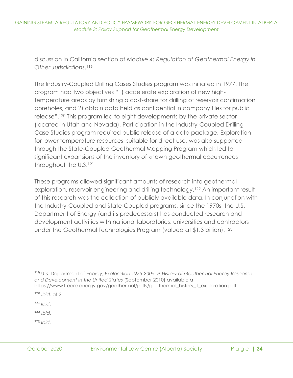discussion in California section of *[Module 4: Regulation of Geothermal Energy in](https://elc.ab.ca/?smd_process_download=1&download_id=93862)  [Other Jurisdictions](https://elc.ab.ca/?smd_process_download=1&download_id=93862)*. 119

The Industry-Coupled Drilling Cases Studies program was initiated in 1977. The program had two objectives "1) accelerate exploration of new hightemperature areas by furnishing a cost-share for drilling of reservoir confirmation boreholes, and 2) obtain data held as confidential in company files for public release".<sup>120</sup> This program led to eight developments by the private sector (located in Utah and Nevada). Participation in the Industry-Coupled Drilling Case Studies program required public release of a data package. Exploration for lower temperature resources, suitable for direct use, was also supported through the State-Coupled Geothermal Mapping Program which led to significant expansions of the inventory of known geothermal occurrences throughout the U.S.<sup>121</sup>

These programs allowed significant amounts of research into geothermal exploration, reservoir engineering and drilling technology.<sup>122</sup> An important result of this research was the collection of publicly available data. In conjunction with the Industry-Coupled and State-Coupled programs, since the 1970s, the U.S. Department of Energy (and its predecessors) has conducted research and development activities with national laboratories, universities and contractors under the Geothermal Technologies Program (valued at \$1.3 billion). <sup>123</sup>

<sup>121</sup> *Ibid*.

<sup>122</sup> *Ibid*.

<sup>119</sup> U.S. Department of Energy, *Exploration 1976-2006: A History of Geothermal Energy Research and Development In the United States* (September 2010) available at [https://www1.eere.energy.gov/geothermal/pdfs/geothermal\\_history\\_1\\_exploration.pdf.](https://www1.eere.energy.gov/geothermal/pdfs/geothermal_history_1_exploration.pdf)

<sup>120</sup> *Ibid*. at 2.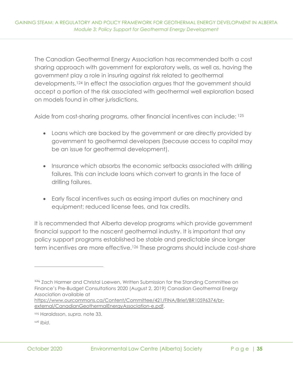The Canadian Geothermal Energy Association has recommended both a cost sharing approach with government for exploratory wells, as well as, having the government play a role in insuring against risk related to geothermal developments.<sup>124</sup> In effect the association argues that the government should accept a portion of the risk associated with geothermal well exploration based on models found in other jurisdictions.

Aside from cost-sharing programs, other financial incentives can include: 125

- Loans which are backed by the government or are directly provided by government to geothermal developers (because access to capital may be an issue for geothermal development).
- Insurance which absorbs the economic setbacks associated with drilling failures. This can include loans which convert to grants in the face of drilling failures.
- Early fiscal incentives such as easing import duties on machinery and equipment; reduced license fees, and tax credits.

It is recommended that Alberta develop programs which provide government financial support to the nascent geothermal industry. It is important that any policy support programs established be stable and predictable since longer term incentives are more effective.<sup>126</sup> These programs should include cost-share

<sup>&</sup>lt;sup>124</sup> Zach Harmer and Christal Loewen, Written Submission for the Standing Committee on Finance's Pre-Budget Consultations 2020 (August 2, 2019) Canadian Geothermal Energy Association available at

[https://www.ourcommons.ca/Content/Committee/421/FINA/Brief/BR10596374/br](https://www.ourcommons.ca/Content/Committee/421/FINA/Brief/BR10596374/br-external/CanadianGeothermalEnergyAssociation-e.pdf)[external/CanadianGeothermalEnergyAssociation-e.pdf.](https://www.ourcommons.ca/Content/Committee/421/FINA/Brief/BR10596374/br-external/CanadianGeothermalEnergyAssociation-e.pdf)

<sup>125</sup> Haraldsson, *supra.* note 33.

<sup>126</sup> *Ibid*.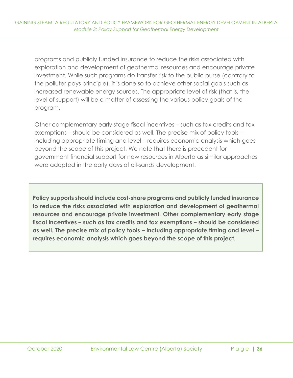programs and publicly funded insurance to reduce the risks associated with exploration and development of geothermal resources and encourage private investment. While such programs do transfer risk to the public purse (contrary to the polluter pays principle), it is done so to achieve other social goals such as increased renewable energy sources. The appropriate level of risk (that is, the level of support) will be a matter of assessing the various policy goals of the program.

Other complementary early stage fiscal incentives – such as tax credits and tax exemptions – should be considered as well. The precise mix of policy tools – including appropriate timing and level – requires economic analysis which goes beyond the scope of this project. We note that there is precedent for government financial support for new resources in Alberta as similar approaches were adopted in the early days of oil-sands development.

**Policy supports should include cost-share programs and publicly funded insurance to reduce the risks associated with exploration and development of geothermal resources and encourage private investment. Other complementary early stage fiscal incentives – such as tax credits and tax exemptions – should be considered as well. The precise mix of policy tools – including appropriate timing and level – requires economic analysis which goes beyond the scope of this project.**